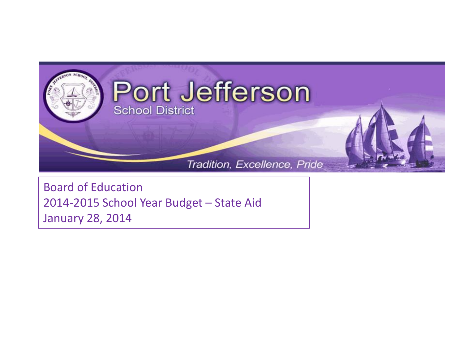

Board of Education 2014-2015 School Year Budget – State Aid January 28, 2014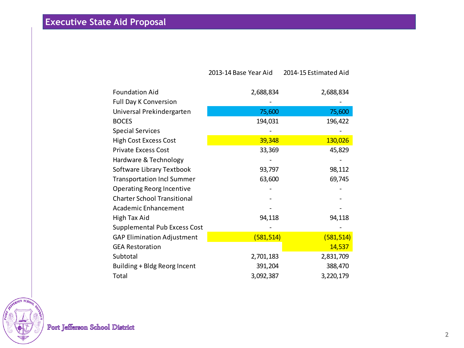**Executive State Aid Proposal**

|                                    | 2013-14 Base Year Aid | 2014-15 Estimated Aid |
|------------------------------------|-----------------------|-----------------------|
| <b>Foundation Aid</b>              | 2,688,834             | 2,688,834             |
| <b>Full Day K Conversion</b>       |                       |                       |
| Universal Prekindergarten          | 75,600                | 75,600                |
| <b>BOCES</b>                       | 194,031               | 196,422               |
| <b>Special Services</b>            |                       |                       |
| <b>High Cost Excess Cost</b>       | 39,348                | 130,026               |
| <b>Private Excess Cost</b>         | 33,369                | 45,829                |
| Hardware & Technology              |                       |                       |
| Software Library Textbook          | 93,797                | 98,112                |
| <b>Transportation Incl Summer</b>  | 63,600                | 69,745                |
| <b>Operating Reorg Incentive</b>   |                       |                       |
| <b>Charter School Transitional</b> |                       |                       |
| Academic Enhancement               |                       |                       |
| High Tax Aid                       | 94,118                | 94,118                |
| Supplemental Pub Excess Cost       |                       |                       |
| <b>GAP Elimination Adjustment</b>  | (581, 514)            | (581, 514)            |
| <b>GEA Restoration</b>             |                       | 14,537                |
| Subtotal                           | 2,701,183             | 2,831,709             |
| Building + Bldg Reorg Incent       | 391,204               | 388,470               |
| Total                              | 3,092,387             | 3,220,179             |

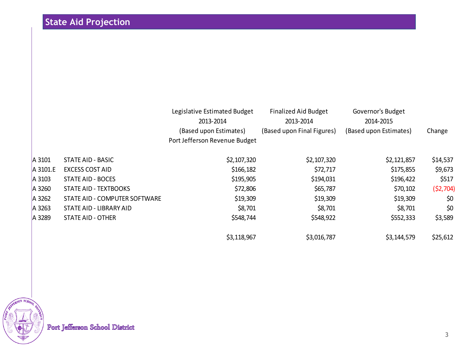|          |                               | Legislative Estimated Budget<br>2013-2014<br>(Based upon Estimates)<br>Port Jefferson Revenue Budget | <b>Finalized Aid Budget</b><br>2013-2014<br>(Based upon Final Figures) | Governor's Budget<br>2014-2015<br>(Based upon Estimates) | Change    |
|----------|-------------------------------|------------------------------------------------------------------------------------------------------|------------------------------------------------------------------------|----------------------------------------------------------|-----------|
| A 3101   | STATE AID - BASIC             | \$2,107,320                                                                                          | \$2,107,320                                                            | \$2,121,857                                              | \$14,537  |
| A 3101.E | <b>EXCESS COST AID</b>        | \$166,182                                                                                            | \$72,717                                                               | \$175,855                                                | \$9,673   |
| A 3103   | <b>STATE AID - BOCES</b>      | \$195,905                                                                                            | \$194,031                                                              | \$196,422                                                | \$517     |
| A 3260   | STATE AID - TEXTBOOKS         | \$72,806                                                                                             | \$65,787                                                               | \$70,102                                                 | (52, 704) |
| A 3262   | STATE AID - COMPUTER SOFTWARE | \$19,309                                                                                             | \$19,309                                                               | \$19,309                                                 | \$0       |
| A 3263   | STATE AID - LIBRARY AID       | \$8,701                                                                                              | \$8,701                                                                | \$8,701                                                  | \$0       |
| A 3289   | <b>STATE AID - OTHER</b>      | \$548,744                                                                                            | \$548,922                                                              | \$552,333                                                | \$3,589   |
|          |                               | \$3,118,967                                                                                          | \$3,016,787                                                            | \$3,144,579                                              | \$25,612  |

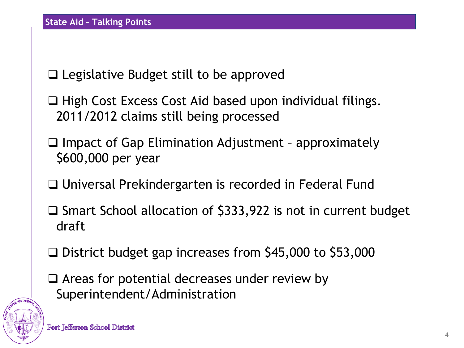Legislative Budget still to be approved

 $\Box$  High Cost Excess Cost Aid based upon individual filings. 2011/2012 claims still being processed

 $\Box$  Impact of Gap Elimination Adjustment - approximately \$600,000 per year

□ Universal Prekindergarten is recorded in Federal Fund

 $\square$  Smart School allocation of \$333,922 is not in current budget draft

□ District budget gap increases from \$45,000 to \$53,000

 $\Box$  Areas for potential decreases under review by Superintendent/Administration

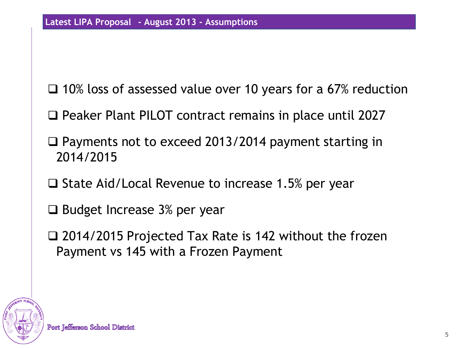□ 10% loss of assessed value over 10 years for a 67% reduction

□ Peaker Plant PILOT contract remains in place until 2027

 $\square$  Payments not to exceed 2013/2014 payment starting in 2014/2015

 $\Box$  State Aid/Local Revenue to increase 1.5% per year

 $\Box$  Budget Increase 3% per year

 2014/2015 Projected Tax Rate is 142 without the frozen Payment vs 145 with a Frozen Payment